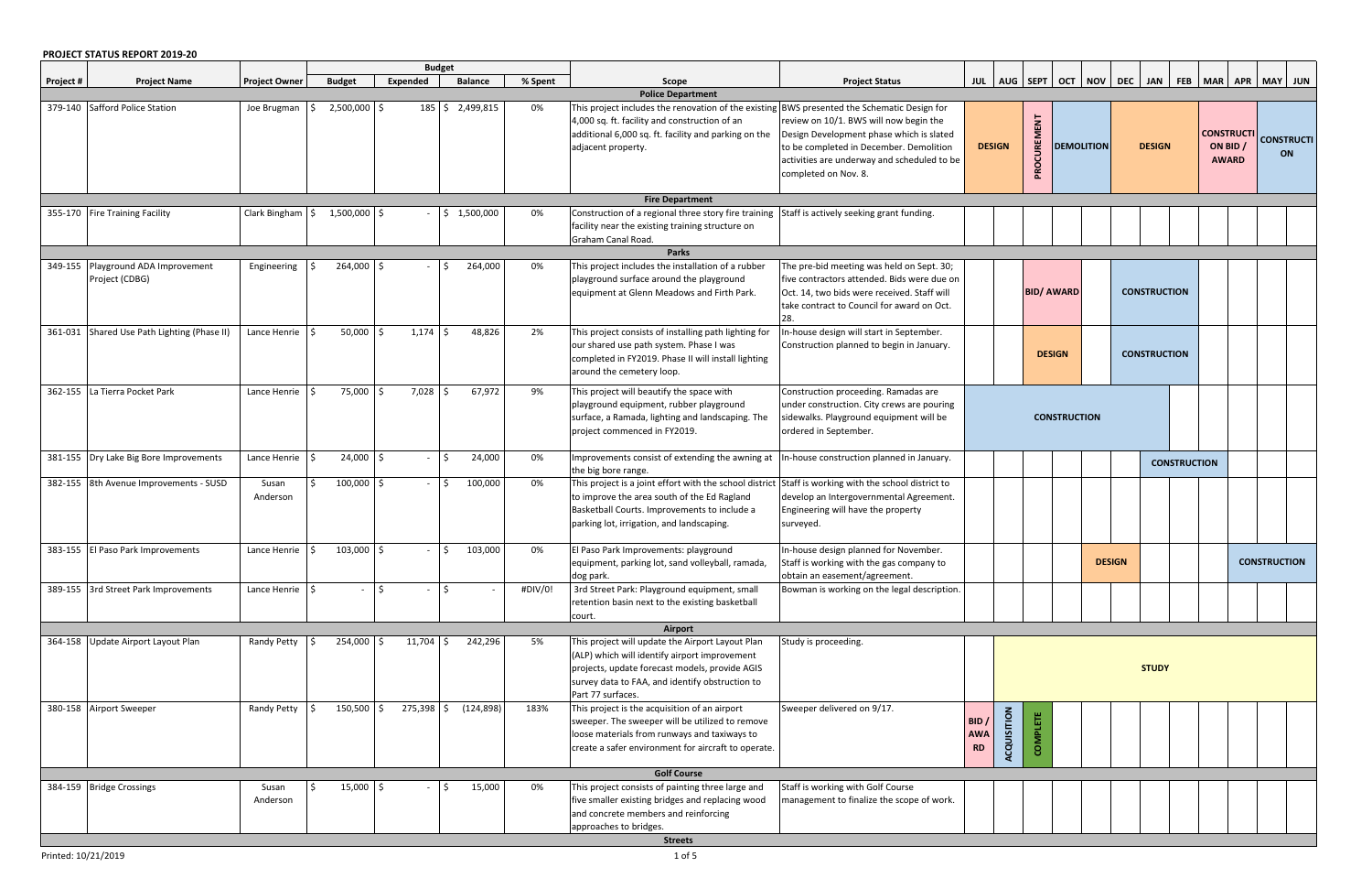## **PROJECT STATUS REPORT 2019-20**

|           | PRUJECI SIAIUS KEPUKI ZUIY-ZU                        |                             |                      |              | <b>Budget</b>   |         |                                                                                                                                                                                                                             |                                                                                                                                                                                                      |                                 |                         |                   |                     |                                    |              |                     |                             |  |  |  |                   |  |  |  |  |               |                                               |                                |  |  |  |                     |  |  |
|-----------|------------------------------------------------------|-----------------------------|----------------------|--------------|-----------------|---------|-----------------------------------------------------------------------------------------------------------------------------------------------------------------------------------------------------------------------------|------------------------------------------------------------------------------------------------------------------------------------------------------------------------------------------------------|---------------------------------|-------------------------|-------------------|---------------------|------------------------------------|--------------|---------------------|-----------------------------|--|--|--|-------------------|--|--|--|--|---------------|-----------------------------------------------|--------------------------------|--|--|--|---------------------|--|--|
| Project # | <b>Project Name</b>                                  | <b>Project Owner</b>        | <b>Budget</b>        | Expended     | <b>Balance</b>  | % Spent | Scope                                                                                                                                                                                                                       | <b>Project Status</b>                                                                                                                                                                                |                                 |                         |                   |                     | JUL   AUG   SEPT   OCT   NOV   DEC |              | <b>JAN</b>          | FEB   MAR   APR   MAY   JUN |  |  |  |                   |  |  |  |  |               |                                               |                                |  |  |  |                     |  |  |
|           |                                                      |                             |                      |              |                 |         | <b>Police Department</b>                                                                                                                                                                                                    |                                                                                                                                                                                                      |                                 |                         |                   |                     |                                    |              |                     |                             |  |  |  |                   |  |  |  |  |               |                                               |                                |  |  |  |                     |  |  |
|           | 379-140 Safford Police Station                       | Joe Brugman                 | $2,500,000$ \$<br>-S |              | 185 \$2,499,815 | 0%      | This project includes the renovation of the existing BWS presented the Schematic Design for<br>4,000 sq. ft. facility and construction of an<br>additional 6,000 sq. ft. facility and parking on the<br>adjacent property.  | review on 10/1. BWS will now begin the<br>Design Development phase which is slated<br>to be completed in December. Demolition<br>activities are underway and scheduled to be<br>completed on Nov. 8. | <b>DESIGN</b>                   |                         | PROCUREMENT       |                     |                                    |              |                     |                             |  |  |  | <b>DEMOLITION</b> |  |  |  |  | <b>DESIGN</b> | <b>CONSTRUCTI</b><br>ON BID /<br><b>AWARD</b> | <b>CONSTRUCTI</b><br><b>ON</b> |  |  |  |                     |  |  |
|           |                                                      |                             |                      |              |                 |         | <b>Fire Department</b>                                                                                                                                                                                                      |                                                                                                                                                                                                      |                                 |                         |                   |                     |                                    |              |                     |                             |  |  |  |                   |  |  |  |  |               |                                               |                                |  |  |  |                     |  |  |
|           | 355-170 Fire Training Facility                       | Clark Bingham $\frac{1}{5}$ | 1,500,000            | S            | \$1,500,000     | 0%      | Construction of a regional three story fire training<br>facility near the existing training structure on<br>Graham Canal Road.                                                                                              | Staff is actively seeking grant funding.                                                                                                                                                             |                                 |                         |                   |                     |                                    |              |                     |                             |  |  |  |                   |  |  |  |  |               |                                               |                                |  |  |  |                     |  |  |
|           |                                                      |                             |                      |              |                 |         | <b>Parks</b>                                                                                                                                                                                                                |                                                                                                                                                                                                      |                                 |                         |                   |                     |                                    |              |                     |                             |  |  |  |                   |  |  |  |  |               |                                               |                                |  |  |  |                     |  |  |
|           | 349-155 Playground ADA Improvement<br>Project (CDBG) | Engineering                 | 264,000 \$           |              | 264,000         | 0%      | This project includes the installation of a rubber<br>playground surface around the playground<br>equipment at Glenn Meadows and Firth Park.                                                                                | The pre-bid meeting was held on Sept. 30;<br>five contractors attended. Bids were due on<br>Oct. 14, two bids were received. Staff will<br>take contract to Council for award on Oct.                |                                 |                         | <b>BID/ AWARD</b> |                     |                                    |              | <b>CONSTRUCTION</b> |                             |  |  |  |                   |  |  |  |  |               |                                               |                                |  |  |  |                     |  |  |
|           | 361-031 Shared Use Path Lighting (Phase II)          | Lance Henrie $\vert$ \$     | $50,000$ \$          | $1,174$ \$   | 48,826          | 2%      | This project consists of installing path lighting for<br>our shared use path system. Phase I was<br>completed in FY2019. Phase II will install lighting<br>around the cemetery loop.                                        | In-house design will start in September.<br>Construction planned to begin in January.                                                                                                                |                                 |                         | <b>DESIGN</b>     |                     |                                    |              |                     |                             |  |  |  |                   |  |  |  |  |               |                                               |                                |  |  |  | <b>CONSTRUCTION</b> |  |  |
|           | 362-155 La Tierra Pocket Park                        | Lance Henrie $\vert$ \$     | 75,000               | $7,028$ :    | 67,972          | 9%      | This project will beautify the space with<br>playground equipment, rubber playground<br>surface, a Ramada, lighting and landscaping. The<br>project commenced in FY2019.                                                    | Construction proceeding. Ramadas are<br>under construction. City crews are pouring<br>sidewalks. Playground equipment will be<br>ordered in September.                                               |                                 |                         |                   | <b>CONSTRUCTION</b> |                                    |              |                     |                             |  |  |  |                   |  |  |  |  |               |                                               |                                |  |  |  |                     |  |  |
|           | 381-155 Dry Lake Big Bore Improvements               | Lance Henrie $\frac{1}{2}$  | 24,000               | S.           | 24,000          | 0%      | Improvements consist of extending the awning at<br>the big bore range.                                                                                                                                                      | In-house construction planned in January.                                                                                                                                                            |                                 |                         |                   |                     |                                    |              | <b>CONSTRUCTION</b> |                             |  |  |  |                   |  |  |  |  |               |                                               |                                |  |  |  |                     |  |  |
|           | 382-155 8th Avenue Improvements - SUSD               | Susan<br>Anderson           | $100,000$ \$         |              | 100,000         | 0%      | This project is a joint effort with the school district<br>to improve the area south of the Ed Ragland<br>Basketball Courts. Improvements to include a<br>parking lot, irrigation, and landscaping.                         | Staff is working with the school district to<br>develop an Intergovernmental Agreement.<br>Engineering will have the property<br>surveyed.                                                           |                                 |                         |                   |                     |                                    |              |                     |                             |  |  |  |                   |  |  |  |  |               |                                               |                                |  |  |  |                     |  |  |
|           | 383-155 El Paso Park Improvements                    | Lance Henrie $\frac{1}{2}$  | $103,000$ \$         |              | 103,000         | 0%      | El Paso Park Improvements: playground<br>equipment, parking lot, sand volleyball, ramada,<br>dog park.                                                                                                                      | In-house design planned for November.<br>Staff is working with the gas company to<br>obtain an easement/agreement.                                                                                   |                                 |                         |                   |                     | <b>DESIGN</b>                      |              |                     | <b>CONSTRUCTION</b>         |  |  |  |                   |  |  |  |  |               |                                               |                                |  |  |  |                     |  |  |
|           | 389-155 3rd Street Park Improvements                 | Lance Henrie $\frac{1}{2}$  | $\sim$               | Ŝ.           |                 | #DIV/0! | 3rd Street Park: Playground equipment, small<br>retention basin next to the existing basketball<br>court.                                                                                                                   | Bowman is working on the legal description.                                                                                                                                                          |                                 |                         |                   |                     |                                    |              |                     |                             |  |  |  |                   |  |  |  |  |               |                                               |                                |  |  |  |                     |  |  |
|           |                                                      |                             |                      |              |                 |         | Airport                                                                                                                                                                                                                     |                                                                                                                                                                                                      |                                 |                         |                   |                     |                                    |              |                     |                             |  |  |  |                   |  |  |  |  |               |                                               |                                |  |  |  |                     |  |  |
|           | 364-158 Update Airport Layout Plan                   | Randy Petty                 | 254,000 \$<br>Ŝ.     | $11,704$ \$  | 242,296         | 5%      | This project will update the Airport Layout Plan<br>(ALP) which will identify airport improvement<br>projects, update forecast models, provide AGIS<br>survey data to FAA, and identify obstruction to<br>Part 77 surfaces. | Study is proceeding.                                                                                                                                                                                 |                                 |                         |                   |                     |                                    | <b>STUDY</b> |                     |                             |  |  |  |                   |  |  |  |  |               |                                               |                                |  |  |  |                     |  |  |
|           | 380-158 Airport Sweeper                              | Randy Petty                 | $150,500$ \$<br>Ŝ.   | $275,398$ \$ | (124, 898)      | 183%    | This project is the acquisition of an airport<br>sweeper. The sweeper will be utilized to remove<br>loose materials from runways and taxiways to<br>create a safer environment for aircraft to operate.                     | Sweeper delivered on 9/17.                                                                                                                                                                           | BID/<br><b>AWA</b><br><b>RD</b> | <b>ITION</b><br>ACQUISI | 眉<br>COMP         |                     |                                    |              |                     |                             |  |  |  |                   |  |  |  |  |               |                                               |                                |  |  |  |                     |  |  |
|           |                                                      |                             |                      |              |                 |         | <b>Golf Course</b>                                                                                                                                                                                                          |                                                                                                                                                                                                      |                                 |                         |                   |                     |                                    |              |                     |                             |  |  |  |                   |  |  |  |  |               |                                               |                                |  |  |  |                     |  |  |
|           | 384-159 Bridge Crossings                             | Susan<br>Anderson           | $15,000$ \$<br>Ŝ.    |              | 15,000          | 0%      | This project consists of painting three large and<br>five smaller existing bridges and replacing wood<br>and concrete members and reinforcing<br>approaches to bridges.                                                     | Staff is working with Golf Course<br>management to finalize the scope of work.                                                                                                                       |                                 |                         |                   |                     |                                    |              |                     |                             |  |  |  |                   |  |  |  |  |               |                                               |                                |  |  |  |                     |  |  |
|           |                                                      |                             |                      |              |                 |         | <b>Streets</b>                                                                                                                                                                                                              |                                                                                                                                                                                                      |                                 |                         |                   |                     |                                    |              |                     |                             |  |  |  |                   |  |  |  |  |               |                                               |                                |  |  |  |                     |  |  |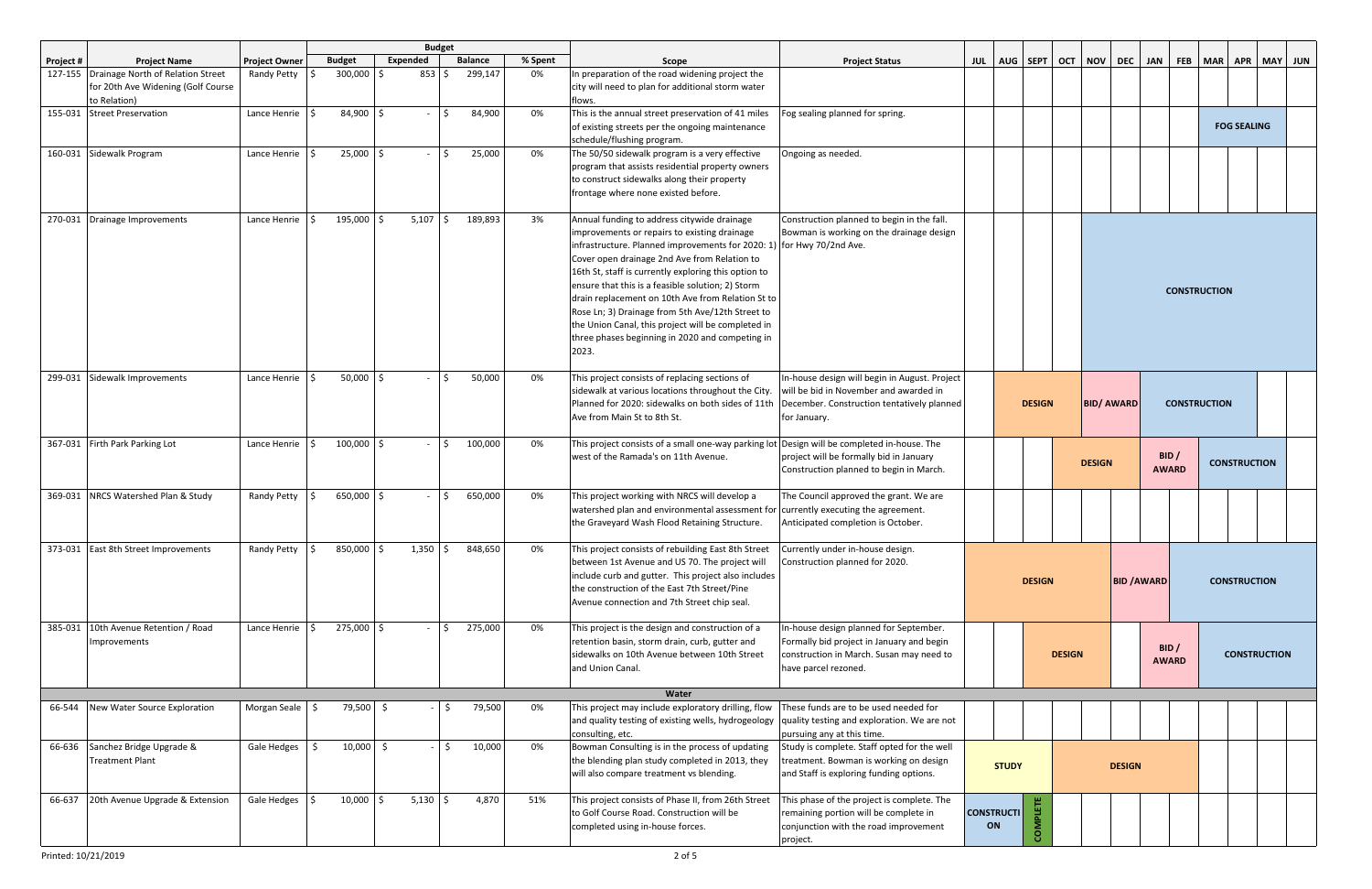|           |                                                                                                 |                                       |                   |                     | <b>Budget</b>    |         |                                                                                                                                                                                                                                                                                                                                                                                                                                                                                                                                                              |                                                                                                                                                         |                              |               |  |  |               |                    |                     |         |                     |                |  |  |                     |  |  |  |  |  |  |  |  |  |  |  |  |  |  |  |  |  |  |  |  |  |                      |  |                     |  |
|-----------|-------------------------------------------------------------------------------------------------|---------------------------------------|-------------------|---------------------|------------------|---------|--------------------------------------------------------------------------------------------------------------------------------------------------------------------------------------------------------------------------------------------------------------------------------------------------------------------------------------------------------------------------------------------------------------------------------------------------------------------------------------------------------------------------------------------------------------|---------------------------------------------------------------------------------------------------------------------------------------------------------|------------------------------|---------------|--|--|---------------|--------------------|---------------------|---------|---------------------|----------------|--|--|---------------------|--|--|--|--|--|--|--|--|--|--|--|--|--|--|--|--|--|--|--|--|--|----------------------|--|---------------------|--|
| Project # | <b>Project Name</b>                                                                             | <b>Project Owner</b>                  | <b>Budget</b>     | Expended            | <b>Balance</b>   | % Spent | Scope                                                                                                                                                                                                                                                                                                                                                                                                                                                                                                                                                        | <b>Project Status</b>                                                                                                                                   | JUL   AUG   SEPT   OCT   NOV |               |  |  | <b>DEC</b>    | <b>JAN</b>         |                     | FEB MAR | <b>APR</b>          | <b>MAY JUN</b> |  |  |                     |  |  |  |  |  |  |  |  |  |  |  |  |  |  |  |  |  |  |  |  |  |                      |  |                     |  |
|           | 127-155 Drainage North of Relation Street<br>for 20th Ave Widening (Golf Course<br>to Relation) | Randy Petty                           | 300,000           | $853$ $\frac{1}{5}$ | 299,147          | 0%      | In preparation of the road widening project the<br>city will need to plan for additional storm water<br>flows.                                                                                                                                                                                                                                                                                                                                                                                                                                               |                                                                                                                                                         |                              |               |  |  |               |                    |                     |         |                     |                |  |  |                     |  |  |  |  |  |  |  |  |  |  |  |  |  |  |  |  |  |  |  |  |  |                      |  |                     |  |
|           | 155-031 Street Preservation                                                                     | Lance Henrie $\frac{1}{5}$            | 84,900 \$         |                     | 84,900<br>- 1\$  | 0%      | This is the annual street preservation of 41 miles<br>of existing streets per the ongoing maintenance<br>schedule/flushing program.                                                                                                                                                                                                                                                                                                                                                                                                                          | Fog sealing planned for spring.                                                                                                                         |                              |               |  |  |               |                    |                     |         | <b>FOG SEALING</b>  |                |  |  |                     |  |  |  |  |  |  |  |  |  |  |  |  |  |  |  |  |  |  |  |  |  |                      |  |                     |  |
|           | 160-031 Sidewalk Program                                                                        | Lance Henrie $\vert$ \$               | 25,000            | $-15$<br>S.         | 25,000           | 0%      | The 50/50 sidewalk program is a very effective<br>program that assists residential property owners<br>to construct sidewalks along their property<br>frontage where none existed before.                                                                                                                                                                                                                                                                                                                                                                     | Ongoing as needed.                                                                                                                                      |                              |               |  |  |               |                    |                     |         |                     |                |  |  |                     |  |  |  |  |  |  |  |  |  |  |  |  |  |  |  |  |  |  |  |  |  |                      |  |                     |  |
|           | 270-031 Drainage Improvements                                                                   | Lance Henrie $\vert \mathsf{S} \vert$ | 195,000           | $5,107$ \$          | 189,893          | 3%      | Annual funding to address citywide drainage<br>improvements or repairs to existing drainage<br>infrastructure. Planned improvements for 2020: 1) for Hwy 70/2nd Ave.<br>Cover open drainage 2nd Ave from Relation to<br>16th St, staff is currently exploring this option to<br>ensure that this is a feasible solution; 2) Storm<br>drain replacement on 10th Ave from Relation St to<br>Rose Ln; 3) Drainage from 5th Ave/12th Street to<br>the Union Canal, this project will be completed in<br>three phases beginning in 2020 and competing in<br>2023. | Construction planned to begin in the fall.<br>Bowman is working on the drainage design                                                                  |                              |               |  |  |               |                    | <b>CONSTRUCTION</b> |         |                     |                |  |  |                     |  |  |  |  |  |  |  |  |  |  |  |  |  |  |  |  |  |  |  |  |  |                      |  |                     |  |
|           | 299-031 Sidewalk Improvements                                                                   | Lance Henrie $\vert$ \$               | $50,000$ \$       |                     | 50,000           | 0%      | This project consists of replacing sections of<br>sidewalk at various locations throughout the City.<br>Planned for 2020: sidewalks on both sides of 11th<br>Ave from Main St to 8th St.                                                                                                                                                                                                                                                                                                                                                                     | In-house design will begin in August. Project<br>will be bid in November and awarded in<br>December. Construction tentatively planned<br>for January.   |                              | <b>DESIGN</b> |  |  |               | <b>BID/AWARD</b>   |                     |         |                     |                |  |  | <b>CONSTRUCTION</b> |  |  |  |  |  |  |  |  |  |  |  |  |  |  |  |  |  |  |  |  |  |                      |  |                     |  |
|           | 367-031 Firth Park Parking Lot                                                                  | Lance Henrie                          | 100,000 \$        |                     | 100,000<br>$-15$ | 0%      | This project consists of a small one-way parking lot Design will be completed in-house. The<br>west of the Ramada's on 11th Avenue.                                                                                                                                                                                                                                                                                                                                                                                                                          | project will be formally bid in January<br>Construction planned to begin in March.                                                                      | <b>DESIGN</b>                |               |  |  |               |                    |                     |         | <b>CONSTRUCTION</b> |                |  |  |                     |  |  |  |  |  |  |  |  |  |  |  |  |  |  |  |  |  |  |  |  |  |                      |  |                     |  |
|           | 369-031 NRCS Watershed Plan & Study                                                             | Randy Petty                           | 650,000 \$<br>l S | $-15$               | 650,000          | 0%      | This project working with NRCS will develop a<br>watershed plan and environmental assessment for<br>the Graveyard Wash Flood Retaining Structure.                                                                                                                                                                                                                                                                                                                                                                                                            | The Council approved the grant. We are<br>currently executing the agreement.<br>Anticipated completion is October.                                      |                              |               |  |  |               |                    |                     |         |                     |                |  |  |                     |  |  |  |  |  |  |  |  |  |  |  |  |  |  |  |  |  |  |  |  |  |                      |  |                     |  |
|           | 373-031 East 8th Street Improvements                                                            | Randy Petty $\frac{1}{2}$             | 850,000 \$        | $1,350$ \$          | 848,650          | 0%      | This project consists of rebuilding East 8th Street<br>between 1st Avenue and US 70. The project will<br>include curb and gutter. This project also includes<br>the construction of the East 7th Street/Pine<br>Avenue connection and 7th Street chip seal.                                                                                                                                                                                                                                                                                                  | Currently under in-house design.<br>Construction planned for 2020.                                                                                      |                              | <b>DESIGN</b> |  |  |               | <b>BID / AWARD</b> |                     |         | <b>CONSTRUCTION</b> |                |  |  |                     |  |  |  |  |  |  |  |  |  |  |  |  |  |  |  |  |  |  |  |  |  |                      |  |                     |  |
| 385-031   | 10th Avenue Retention / Road<br>Improvements                                                    | Lance Henrie $\vert$ \$               | 275,000 \$        |                     | 275,000<br>- IS  | 0%      | This project is the design and construction of a<br>retention basin, storm drain, curb, gutter and<br>sidewalks on 10th Avenue between 10th Street<br>and Union Canal.                                                                                                                                                                                                                                                                                                                                                                                       | In-house design planned for September.<br>Formally bid project in January and begin<br>construction in March. Susan may need to<br>have parcel rezoned. | <b>DESIGN</b>                |               |  |  |               |                    |                     |         |                     |                |  |  |                     |  |  |  |  |  |  |  |  |  |  |  |  |  |  |  |  |  |  |  |  |  | BID/<br><b>AWARD</b> |  | <b>CONSTRUCTION</b> |  |
|           |                                                                                                 |                                       |                   |                     |                  |         | Water                                                                                                                                                                                                                                                                                                                                                                                                                                                                                                                                                        |                                                                                                                                                         |                              |               |  |  |               |                    |                     |         |                     |                |  |  |                     |  |  |  |  |  |  |  |  |  |  |  |  |  |  |  |  |  |  |  |  |  |                      |  |                     |  |
| 66-544    | New Water Source Exploration                                                                    | Morgan Seale \$                       | 79,500 \$         |                     | 79,500<br>\$     | 0%      | This project may include exploratory drilling, flow<br>and quality testing of existing wells, hydrogeology<br>consulting, etc.                                                                                                                                                                                                                                                                                                                                                                                                                               | These funds are to be used needed for<br>quality testing and exploration. We are not<br>pursuing any at this time.                                      |                              |               |  |  |               |                    |                     |         |                     |                |  |  |                     |  |  |  |  |  |  |  |  |  |  |  |  |  |  |  |  |  |  |  |  |  |                      |  |                     |  |
| 66-636    | Sanchez Bridge Upgrade &<br><b>Treatment Plant</b>                                              | Gale Hedges                           | $10,000$ \$       |                     | 10,000<br>Ŝ.     | 0%      | Bowman Consulting is in the process of updating<br>the blending plan study completed in 2013, they<br>will also compare treatment vs blending.                                                                                                                                                                                                                                                                                                                                                                                                               | Study is complete. Staff opted for the well<br>treatment. Bowman is working on design<br>and Staff is exploring funding options.                        | <b>STUDY</b>                 |               |  |  | <b>DESIGN</b> |                    |                     |         |                     |                |  |  |                     |  |  |  |  |  |  |  |  |  |  |  |  |  |  |  |  |  |  |  |  |  |                      |  |                     |  |
| 66-637    | 20th Avenue Upgrade & Extension                                                                 | Gale Hedges \$                        | $10,000$ \$       | $5,130$ \$          | 4,870            | 51%     | This project consists of Phase II, from 26th Street<br>to Golf Course Road. Construction will be<br>completed using in-house forces.                                                                                                                                                                                                                                                                                                                                                                                                                         | This phase of the project is complete. The<br>remaining portion will be complete in<br>conjunction with the road improvement<br>project.                | <b>CONSTRUCTI</b><br>ON      | <b>COMPLI</b> |  |  |               |                    |                     |         |                     |                |  |  |                     |  |  |  |  |  |  |  |  |  |  |  |  |  |  |  |  |  |  |  |  |  |                      |  |                     |  |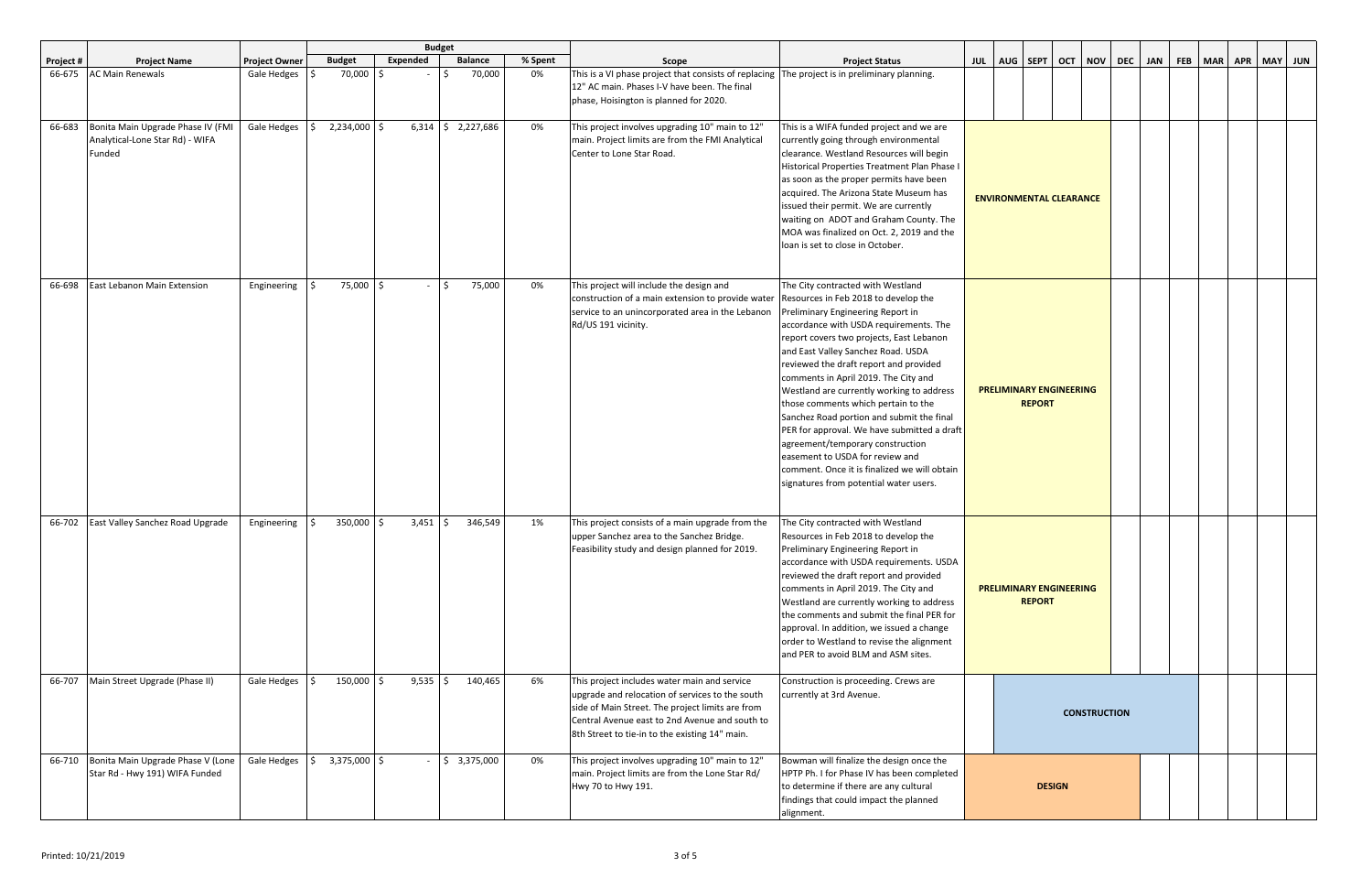|           |                                                                                |                      |                       |            | <b>Budget</b>            |         |                                                                                                                                                                                                                                                         |                                                                                                                                                                                                                                                                                                                                                                                                                                                                                                                                                                                                                                                                               |                                                 |  |  |  |            |  |         |            |         |
|-----------|--------------------------------------------------------------------------------|----------------------|-----------------------|------------|--------------------------|---------|---------------------------------------------------------------------------------------------------------------------------------------------------------------------------------------------------------------------------------------------------------|-------------------------------------------------------------------------------------------------------------------------------------------------------------------------------------------------------------------------------------------------------------------------------------------------------------------------------------------------------------------------------------------------------------------------------------------------------------------------------------------------------------------------------------------------------------------------------------------------------------------------------------------------------------------------------|-------------------------------------------------|--|--|--|------------|--|---------|------------|---------|
| Project # | <b>Project Name</b>                                                            | <b>Project Owner</b> | <b>Budget</b>         | Expended   | <b>Balance</b>           | % Spent | Scope                                                                                                                                                                                                                                                   | <b>Project Status</b>                                                                                                                                                                                                                                                                                                                                                                                                                                                                                                                                                                                                                                                         | JUL   AUG   SEPT   OCT   NOV   DEC              |  |  |  | <b>JAN</b> |  | FEB MAR | <b>APR</b> | MAY JUN |
| 66-675    | <b>AC Main Renewals</b>                                                        | Gale Hedges          | 70,000                |            | 70,000                   | 0%      | This is a VI phase project that consists of replacing   The project is in preliminary planning.<br>12" AC main. Phases I-V have been. The final<br>phase, Hoisington is planned for 2020.                                                               |                                                                                                                                                                                                                                                                                                                                                                                                                                                                                                                                                                                                                                                                               |                                                 |  |  |  |            |  |         |            |         |
| 66-683    | Bonita Main Upgrade Phase IV (FMI<br>Analytical-Lone Star Rd) - WIFA<br>Funded | Gale Hedges          | 2,234,000             |            | $6,314$ \$ 2,227,686     | 0%      | This project involves upgrading 10" main to 12"<br>main. Project limits are from the FMI Analytical<br>Center to Lone Star Road.                                                                                                                        | This is a WIFA funded project and we are<br>currently going through environmental<br>clearance. Westland Resources will begin<br>Historical Properties Treatment Plan Phase I<br>as soon as the proper permits have been<br>acquired. The Arizona State Museum has<br>issued their permit. We are currently<br>waiting on ADOT and Graham County. The<br>MOA was finalized on Oct. 2, 2019 and the<br>loan is set to close in October.                                                                                                                                                                                                                                        | <b>ENVIRONMENTAL CLEARANCE</b>                  |  |  |  |            |  |         |            |         |
| 66-698    | East Lebanon Main Extension                                                    | Engineering          | 75,000 \$<br>I \$     |            | 75,000<br>$-15$          | 0%      | This project will include the design and<br>construction of a main extension to provide water<br>service to an unincorporated area in the Lebanon<br>Rd/US 191 vicinity.                                                                                | The City contracted with Westland<br>Resources in Feb 2018 to develop the<br>Preliminary Engineering Report in<br>accordance with USDA requirements. The<br>report covers two projects, East Lebanon<br>and East Valley Sanchez Road. USDA<br>reviewed the draft report and provided<br>comments in April 2019. The City and<br>Westland are currently working to address<br>those comments which pertain to the<br>Sanchez Road portion and submit the final<br>PER for approval. We have submitted a draft<br>agreement/temporary construction<br>easement to USDA for review and<br>comment. Once it is finalized we will obtain<br>signatures from potential water users. | <b>PRELIMINARY ENGINEERING</b><br><b>REPORT</b> |  |  |  |            |  |         |            |         |
| 66-702    | East Valley Sanchez Road Upgrade                                               | Engineering          | 350,000 \$            | $3,451$ \$ | 346,549                  | 1%      | This project consists of a main upgrade from the<br>upper Sanchez area to the Sanchez Bridge.<br>Feasibility study and design planned for 2019.                                                                                                         | The City contracted with Westland<br>Resources in Feb 2018 to develop the<br>Preliminary Engineering Report in<br>accordance with USDA requirements. USDA<br>reviewed the draft report and provided<br>comments in April 2019. The City and<br>Westland are currently working to address<br>the comments and submit the final PER for<br>approval. In addition, we issued a change<br>order to Westland to revise the alignment<br>and PER to avoid BLM and ASM sites.                                                                                                                                                                                                        | <b>PRELIMINARY ENGINEERING</b><br><b>REPORT</b> |  |  |  |            |  |         |            |         |
| 66-707    | Main Street Upgrade (Phase II)                                                 | Gale Hedges          | 150,000 \$            | $9,535$ \$ | 140,465                  | 6%      | This project includes water main and service<br>upgrade and relocation of services to the south<br>side of Main Street. The project limits are from<br>Central Avenue east to 2nd Avenue and south to<br>8th Street to tie-in to the existing 14" main. | Construction is proceeding. Crews are<br>currently at 3rd Avenue.                                                                                                                                                                                                                                                                                                                                                                                                                                                                                                                                                                                                             |                                                 |  |  |  |            |  |         |            |         |
| 66-710    | Bonita Main Upgrade Phase V (Lone<br>Star Rd - Hwy 191) WIFA Funded            | Gale Hedges          | $3,375,000$ \$<br>I\$ |            | $ \frac{1}{5}$ 3,375,000 | 0%      | This project involves upgrading 10" main to 12"<br>main. Project limits are from the Lone Star Rd/<br>Hwy 70 to Hwy 191.                                                                                                                                | Bowman will finalize the design once the<br>HPTP Ph. I for Phase IV has been completed<br>to determine if there are any cultural<br>findings that could impact the planned<br>alignment.                                                                                                                                                                                                                                                                                                                                                                                                                                                                                      | <b>DESIGN</b>                                   |  |  |  |            |  |         |            |         |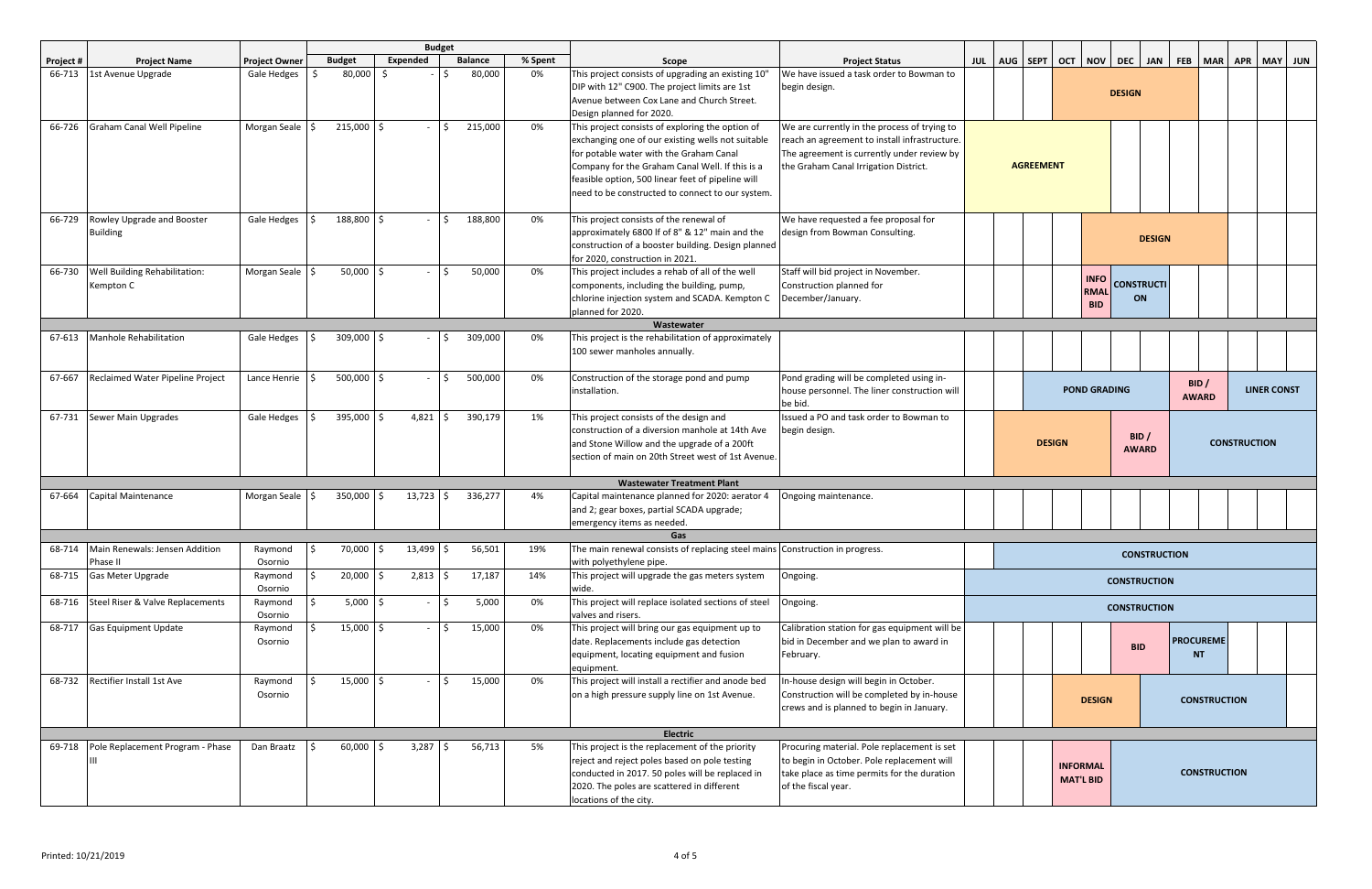|                  |                                         |                            |    |               |          | <b>Budget</b>       |                |         |                                                                                            |                                                                                     |                                        |  |                  |               |               |                     |                                               |                     |                     |  |  |  |  |  |  |  |  |  |  |  |  |  |  |  |  |  |  |  |  |  |                     |  |       |  |  |                    |  |
|------------------|-----------------------------------------|----------------------------|----|---------------|----------|---------------------|----------------|---------|--------------------------------------------------------------------------------------------|-------------------------------------------------------------------------------------|----------------------------------------|--|------------------|---------------|---------------|---------------------|-----------------------------------------------|---------------------|---------------------|--|--|--|--|--|--|--|--|--|--|--|--|--|--|--|--|--|--|--|--|--|---------------------|--|-------|--|--|--------------------|--|
| <b>Project #</b> | <b>Project Name</b>                     | <b>Project Owner</b>       |    | <b>Budget</b> | Expended |                     | <b>Balance</b> | % Spent | Scope                                                                                      | <b>Project Status</b>                                                               | JUL   AUG   SEPT                       |  | OCT              |               |               |                     | NOV   DEC   JAN   FEB   MAR   APR   MAY   JUN |                     |                     |  |  |  |  |  |  |  |  |  |  |  |  |  |  |  |  |  |  |  |  |  |                     |  |       |  |  |                    |  |
| 66-713           | 1st Avenue Upgrade                      | Gale Hedges                | -Ś | 80,000        | - \$     |                     | 80,000         | 0%      | This project consists of upgrading an existing 10"                                         | We have issued a task order to Bowman to                                            |                                        |  |                  |               |               |                     |                                               |                     |                     |  |  |  |  |  |  |  |  |  |  |  |  |  |  |  |  |  |  |  |  |  |                     |  |       |  |  |                    |  |
|                  |                                         |                            |    |               |          |                     |                |         | DIP with 12" C900. The project limits are 1st                                              | begin design.                                                                       |                                        |  |                  |               | <b>DESIGN</b> |                     |                                               |                     |                     |  |  |  |  |  |  |  |  |  |  |  |  |  |  |  |  |  |  |  |  |  |                     |  |       |  |  |                    |  |
|                  |                                         |                            |    |               |          |                     |                |         | Avenue between Cox Lane and Church Street.                                                 |                                                                                     |                                        |  |                  |               |               |                     |                                               |                     |                     |  |  |  |  |  |  |  |  |  |  |  |  |  |  |  |  |  |  |  |  |  |                     |  |       |  |  |                    |  |
|                  |                                         |                            |    |               |          |                     |                |         | Design planned for 2020.                                                                   |                                                                                     |                                        |  |                  |               |               |                     |                                               |                     |                     |  |  |  |  |  |  |  |  |  |  |  |  |  |  |  |  |  |  |  |  |  |                     |  |       |  |  |                    |  |
| 66-726           | Graham Canal Well Pipeline              | Morgan Seale $\frac{1}{2}$ |    | $215,000$ \$  |          |                     | 215,000        | 0%      | This project consists of exploring the option of                                           | We are currently in the process of trying to                                        |                                        |  |                  |               |               |                     |                                               |                     |                     |  |  |  |  |  |  |  |  |  |  |  |  |  |  |  |  |  |  |  |  |  |                     |  |       |  |  |                    |  |
|                  |                                         |                            |    |               |          |                     |                |         | exchanging one of our existing wells not suitable                                          | reach an agreement to install infrastructure.                                       |                                        |  |                  |               |               |                     |                                               |                     |                     |  |  |  |  |  |  |  |  |  |  |  |  |  |  |  |  |  |  |  |  |  |                     |  |       |  |  |                    |  |
|                  |                                         |                            |    |               |          |                     |                |         | for potable water with the Graham Canal<br>Company for the Graham Canal Well. If this is a | The agreement is currently under review by<br>the Graham Canal Irrigation District. |                                        |  | <b>AGREEMENT</b> |               |               |                     |                                               |                     |                     |  |  |  |  |  |  |  |  |  |  |  |  |  |  |  |  |  |  |  |  |  |                     |  |       |  |  |                    |  |
|                  |                                         |                            |    |               |          |                     |                |         | feasible option, 500 linear feet of pipeline will                                          |                                                                                     |                                        |  |                  |               |               |                     |                                               |                     |                     |  |  |  |  |  |  |  |  |  |  |  |  |  |  |  |  |  |  |  |  |  |                     |  |       |  |  |                    |  |
|                  |                                         |                            |    |               |          |                     |                |         | need to be constructed to connect to our system.                                           |                                                                                     |                                        |  |                  |               |               |                     |                                               |                     |                     |  |  |  |  |  |  |  |  |  |  |  |  |  |  |  |  |  |  |  |  |  |                     |  |       |  |  |                    |  |
|                  |                                         |                            |    |               |          |                     |                |         |                                                                                            |                                                                                     |                                        |  |                  |               |               |                     |                                               |                     |                     |  |  |  |  |  |  |  |  |  |  |  |  |  |  |  |  |  |  |  |  |  |                     |  |       |  |  |                    |  |
| 66-729           | Rowley Upgrade and Booster              | Gale Hedges                |    | 188,800 \$    |          |                     | 188,800        | 0%      | This project consists of the renewal of                                                    | We have requested a fee proposal for                                                |                                        |  |                  |               |               |                     |                                               |                     |                     |  |  |  |  |  |  |  |  |  |  |  |  |  |  |  |  |  |  |  |  |  |                     |  |       |  |  |                    |  |
|                  | <b>Building</b>                         |                            |    |               |          |                     |                |         | approximately 6800 If of 8" & 12" main and the                                             | design from Bowman Consulting.                                                      |                                        |  |                  |               |               |                     |                                               |                     |                     |  |  |  |  |  |  |  |  |  |  |  |  |  |  |  |  |  |  |  |  |  |                     |  |       |  |  |                    |  |
|                  |                                         |                            |    |               |          |                     |                |         | construction of a booster building. Design planned                                         |                                                                                     |                                        |  |                  |               |               | <b>DESIGN</b>       |                                               |                     |                     |  |  |  |  |  |  |  |  |  |  |  |  |  |  |  |  |  |  |  |  |  |                     |  |       |  |  |                    |  |
|                  |                                         |                            |    |               |          |                     |                |         | for 2020, construction in 2021.                                                            |                                                                                     |                                        |  |                  |               |               |                     |                                               |                     |                     |  |  |  |  |  |  |  |  |  |  |  |  |  |  |  |  |  |  |  |  |  |                     |  |       |  |  |                    |  |
| 66-730           | Well Building Rehabilitation:           | Morgan Seale \$            |    | $50,000$   \$ |          |                     | 50,000         | 0%      | This project includes a rehab of all of the well                                           | Staff will bid project in November.                                                 |                                        |  |                  | <b>INFO</b>   |               |                     |                                               |                     |                     |  |  |  |  |  |  |  |  |  |  |  |  |  |  |  |  |  |  |  |  |  |                     |  |       |  |  |                    |  |
|                  | Kempton C                               |                            |    |               |          |                     |                |         | components, including the building, pump,                                                  | Construction planned for                                                            |                                        |  |                  | <b>RMAL</b>   |               | <b>CONSTRUCTI</b>   |                                               |                     |                     |  |  |  |  |  |  |  |  |  |  |  |  |  |  |  |  |  |  |  |  |  |                     |  |       |  |  |                    |  |
|                  |                                         |                            |    |               |          |                     |                |         | chlorine injection system and SCADA. Kempton C                                             | December/January.                                                                   |                                        |  |                  | <b>BID</b>    |               | ON                  |                                               |                     |                     |  |  |  |  |  |  |  |  |  |  |  |  |  |  |  |  |  |  |  |  |  |                     |  |       |  |  |                    |  |
|                  |                                         |                            |    |               |          |                     |                |         | planned for 2020.                                                                          |                                                                                     |                                        |  |                  |               |               |                     |                                               |                     |                     |  |  |  |  |  |  |  |  |  |  |  |  |  |  |  |  |  |  |  |  |  |                     |  |       |  |  |                    |  |
|                  |                                         |                            |    |               |          |                     |                |         | Wastewater                                                                                 |                                                                                     |                                        |  |                  |               |               |                     |                                               |                     |                     |  |  |  |  |  |  |  |  |  |  |  |  |  |  |  |  |  |  |  |  |  |                     |  |       |  |  |                    |  |
| 67-613           | Manhole Rehabilitation                  | Gale Hedges                | -S | 309,000 \$    |          |                     | 309,000        | 0%      | This project is the rehabilitation of approximately                                        |                                                                                     |                                        |  |                  |               |               |                     |                                               |                     |                     |  |  |  |  |  |  |  |  |  |  |  |  |  |  |  |  |  |  |  |  |  |                     |  |       |  |  |                    |  |
|                  |                                         |                            |    |               |          |                     |                |         | 100 sewer manholes annually.                                                               |                                                                                     |                                        |  |                  |               |               |                     |                                               |                     |                     |  |  |  |  |  |  |  |  |  |  |  |  |  |  |  |  |  |  |  |  |  |                     |  |       |  |  |                    |  |
|                  |                                         |                            |    |               |          |                     |                |         |                                                                                            |                                                                                     |                                        |  |                  |               |               |                     |                                               |                     |                     |  |  |  |  |  |  |  |  |  |  |  |  |  |  |  |  |  |  |  |  |  |                     |  |       |  |  |                    |  |
| 67-667           | Reclaimed Water Pipeline Project        | Lance Henrie               |    | $500,000$ \$  |          |                     | 500,000        | 0%      | Construction of the storage pond and pump                                                  | Pond grading will be completed using in-                                            |                                        |  |                  |               |               |                     |                                               |                     |                     |  |  |  |  |  |  |  |  |  |  |  |  |  |  |  |  |  |  |  |  |  | <b>POND GRADING</b> |  | BID / |  |  | <b>LINER CONST</b> |  |
|                  |                                         |                            |    |               |          |                     |                |         | installation.                                                                              | house personnel. The liner construction will<br>be bid.                             |                                        |  |                  |               |               |                     | <b>AWARD</b>                                  |                     |                     |  |  |  |  |  |  |  |  |  |  |  |  |  |  |  |  |  |  |  |  |  |                     |  |       |  |  |                    |  |
| 67-731           | Sewer Main Upgrades                     | Gale Hedges                |    | 395,000 \$    |          | $4,821$ \$          | 390,179        | 1%      | This project consists of the design and                                                    | Issued a PO and task order to Bowman to                                             |                                        |  |                  |               |               |                     |                                               |                     |                     |  |  |  |  |  |  |  |  |  |  |  |  |  |  |  |  |  |  |  |  |  |                     |  |       |  |  |                    |  |
|                  |                                         |                            |    |               |          |                     |                |         | construction of a diversion manhole at 14th Ave                                            | begin design.                                                                       |                                        |  |                  |               |               |                     |                                               |                     |                     |  |  |  |  |  |  |  |  |  |  |  |  |  |  |  |  |  |  |  |  |  |                     |  |       |  |  |                    |  |
|                  |                                         |                            |    |               |          |                     |                |         | and Stone Willow and the upgrade of a 200ft                                                |                                                                                     |                                        |  | <b>DESIGN</b>    |               |               | BID/                |                                               |                     | <b>CONSTRUCTION</b> |  |  |  |  |  |  |  |  |  |  |  |  |  |  |  |  |  |  |  |  |  |                     |  |       |  |  |                    |  |
|                  |                                         |                            |    |               |          |                     |                |         | section of main on 20th Street west of 1st Avenue.                                         |                                                                                     |                                        |  |                  |               |               |                     |                                               |                     | <b>AWARD</b>        |  |  |  |  |  |  |  |  |  |  |  |  |  |  |  |  |  |  |  |  |  |                     |  |       |  |  |                    |  |
|                  |                                         |                            |    |               |          |                     |                |         |                                                                                            |                                                                                     |                                        |  |                  |               |               |                     |                                               |                     |                     |  |  |  |  |  |  |  |  |  |  |  |  |  |  |  |  |  |  |  |  |  |                     |  |       |  |  |                    |  |
|                  |                                         |                            |    |               |          |                     |                |         | <b>Wastewater Treatment Plant</b>                                                          |                                                                                     |                                        |  |                  |               |               |                     |                                               |                     |                     |  |  |  |  |  |  |  |  |  |  |  |  |  |  |  |  |  |  |  |  |  |                     |  |       |  |  |                    |  |
| 67-664           | Capital Maintenance                     | Morgan Seale               | S. | 350,000<br>S. |          | 13,723              | 336,277        | 4%      | Capital maintenance planned for 2020: aerator 4                                            | Ongoing maintenance.                                                                |                                        |  |                  |               |               |                     |                                               |                     |                     |  |  |  |  |  |  |  |  |  |  |  |  |  |  |  |  |  |  |  |  |  |                     |  |       |  |  |                    |  |
|                  |                                         |                            |    |               |          |                     |                |         | and 2; gear boxes, partial SCADA upgrade;                                                  |                                                                                     |                                        |  |                  |               |               |                     |                                               |                     |                     |  |  |  |  |  |  |  |  |  |  |  |  |  |  |  |  |  |  |  |  |  |                     |  |       |  |  |                    |  |
|                  |                                         |                            |    |               |          |                     |                |         | emergency items as needed.                                                                 |                                                                                     |                                        |  |                  |               |               |                     |                                               |                     |                     |  |  |  |  |  |  |  |  |  |  |  |  |  |  |  |  |  |  |  |  |  |                     |  |       |  |  |                    |  |
|                  |                                         |                            |    |               |          |                     |                |         | Gas                                                                                        |                                                                                     |                                        |  |                  |               |               |                     |                                               |                     |                     |  |  |  |  |  |  |  |  |  |  |  |  |  |  |  |  |  |  |  |  |  |                     |  |       |  |  |                    |  |
|                  | 68-714   Main Renewals: Jensen Addition | Raymond                    |    | 70,000 \$     |          | $13,499$ $\sqrt{5}$ | 56,501         | 19%     | The main renewal consists of replacing steel mains Construction in progress.               |                                                                                     |                                        |  |                  |               |               | <b>CONSTRUCTION</b> |                                               |                     |                     |  |  |  |  |  |  |  |  |  |  |  |  |  |  |  |  |  |  |  |  |  |                     |  |       |  |  |                    |  |
|                  | Phase II<br>Gas Meter Upgrade           | Osornio                    |    | $20,000$ \$   |          | $2,813$ \$          | 17,187         | 14%     | with polyethylene pipe.<br>This project will upgrade the gas meters system                 |                                                                                     |                                        |  |                  |               |               |                     |                                               |                     |                     |  |  |  |  |  |  |  |  |  |  |  |  |  |  |  |  |  |  |  |  |  |                     |  |       |  |  |                    |  |
| 68-715           |                                         | Raymond<br>Osornio         |    |               |          |                     |                |         | wide.                                                                                      | Ongoing.                                                                            |                                        |  |                  |               |               | <b>CONSTRUCTION</b> |                                               |                     |                     |  |  |  |  |  |  |  |  |  |  |  |  |  |  |  |  |  |  |  |  |  |                     |  |       |  |  |                    |  |
| 68-716           | Steel Riser & Valve Replacements        | Raymond                    |    | $5,000$ \$    |          | $\vert$ \$          | 5,000          | 0%      | This project will replace isolated sections of steel                                       | Ongoing.                                                                            |                                        |  |                  |               |               |                     |                                               |                     |                     |  |  |  |  |  |  |  |  |  |  |  |  |  |  |  |  |  |  |  |  |  |                     |  |       |  |  |                    |  |
|                  |                                         | Osornio                    |    |               |          |                     |                |         | valves and risers.                                                                         |                                                                                     |                                        |  |                  |               |               | <b>CONSTRUCTION</b> |                                               |                     |                     |  |  |  |  |  |  |  |  |  |  |  |  |  |  |  |  |  |  |  |  |  |                     |  |       |  |  |                    |  |
| 68-717           | <b>Gas Equipment Update</b>             | Raymond                    |    | $15,000$ \$   |          |                     | 15,000         | 0%      | This project will bring our gas equipment up to                                            | Calibration station for gas equipment will be                                       |                                        |  |                  |               |               |                     |                                               |                     |                     |  |  |  |  |  |  |  |  |  |  |  |  |  |  |  |  |  |  |  |  |  |                     |  |       |  |  |                    |  |
|                  |                                         | Osornio                    |    |               |          |                     |                |         | date. Replacements include gas detection                                                   | bid in December and we plan to award in                                             |                                        |  |                  |               |               |                     | <b>PROCUREME</b>                              |                     |                     |  |  |  |  |  |  |  |  |  |  |  |  |  |  |  |  |  |  |  |  |  |                     |  |       |  |  |                    |  |
|                  |                                         |                            |    |               |          |                     |                |         | equipment, locating equipment and fusion                                                   | February.                                                                           |                                        |  |                  |               |               | <b>BID</b>          | <b>NT</b>                                     |                     |                     |  |  |  |  |  |  |  |  |  |  |  |  |  |  |  |  |  |  |  |  |  |                     |  |       |  |  |                    |  |
|                  |                                         |                            |    |               |          |                     |                |         | equipment.                                                                                 |                                                                                     |                                        |  |                  |               |               |                     |                                               |                     |                     |  |  |  |  |  |  |  |  |  |  |  |  |  |  |  |  |  |  |  |  |  |                     |  |       |  |  |                    |  |
| 68-732           | Rectifier Install 1st Ave               | Raymond                    |    | $15,000$ \$   |          |                     | 15,000         | 0%      | This project will install a rectifier and anode bed                                        | In-house design will begin in October.                                              |                                        |  |                  |               |               |                     |                                               |                     |                     |  |  |  |  |  |  |  |  |  |  |  |  |  |  |  |  |  |  |  |  |  |                     |  |       |  |  |                    |  |
|                  |                                         | Osornio                    |    |               |          |                     |                |         | on a high pressure supply line on 1st Avenue.                                              | Construction will be completed by in-house                                          |                                        |  |                  | <b>DESIGN</b> |               |                     |                                               | <b>CONSTRUCTION</b> |                     |  |  |  |  |  |  |  |  |  |  |  |  |  |  |  |  |  |  |  |  |  |                     |  |       |  |  |                    |  |
|                  |                                         |                            |    |               |          |                     |                |         |                                                                                            | crews and is planned to begin in January.                                           |                                        |  |                  |               |               |                     |                                               |                     |                     |  |  |  |  |  |  |  |  |  |  |  |  |  |  |  |  |  |  |  |  |  |                     |  |       |  |  |                    |  |
|                  |                                         |                            |    |               |          |                     |                |         |                                                                                            |                                                                                     |                                        |  |                  |               |               |                     |                                               |                     |                     |  |  |  |  |  |  |  |  |  |  |  |  |  |  |  |  |  |  |  |  |  |                     |  |       |  |  |                    |  |
|                  |                                         |                            |    |               |          |                     |                |         | <b>Electric</b>                                                                            |                                                                                     |                                        |  |                  |               |               |                     |                                               |                     |                     |  |  |  |  |  |  |  |  |  |  |  |  |  |  |  |  |  |  |  |  |  |                     |  |       |  |  |                    |  |
|                  | 69-718 Pole Replacement Program - Phase | Dan Braatz                 | Ŝ. | $60,000$ \$   |          | $3,287$ \$          | 56,713         | 5%      | This project is the replacement of the priority                                            | Procuring material. Pole replacement is set                                         |                                        |  |                  |               |               |                     |                                               |                     |                     |  |  |  |  |  |  |  |  |  |  |  |  |  |  |  |  |  |  |  |  |  |                     |  |       |  |  |                    |  |
|                  |                                         |                            |    |               |          |                     |                |         | reject and reject poles based on pole testing                                              | to begin in October. Pole replacement will                                          | <b>INFORMAL</b><br><b>CONSTRUCTION</b> |  |                  |               |               |                     |                                               |                     |                     |  |  |  |  |  |  |  |  |  |  |  |  |  |  |  |  |  |  |  |  |  |                     |  |       |  |  |                    |  |
|                  |                                         |                            |    |               |          |                     |                |         | conducted in 2017. 50 poles will be replaced in                                            | take place as time permits for the duration                                         | <b>MAT'L BID</b>                       |  |                  |               |               |                     |                                               |                     |                     |  |  |  |  |  |  |  |  |  |  |  |  |  |  |  |  |  |  |  |  |  |                     |  |       |  |  |                    |  |
|                  |                                         |                            |    |               |          |                     |                |         | 2020. The poles are scattered in different<br>locations of the city.                       | of the fiscal year.                                                                 |                                        |  |                  |               |               |                     |                                               |                     |                     |  |  |  |  |  |  |  |  |  |  |  |  |  |  |  |  |  |  |  |  |  |                     |  |       |  |  |                    |  |
|                  |                                         |                            |    |               |          |                     |                |         |                                                                                            |                                                                                     |                                        |  |                  |               |               |                     |                                               |                     |                     |  |  |  |  |  |  |  |  |  |  |  |  |  |  |  |  |  |  |  |  |  |                     |  |       |  |  |                    |  |